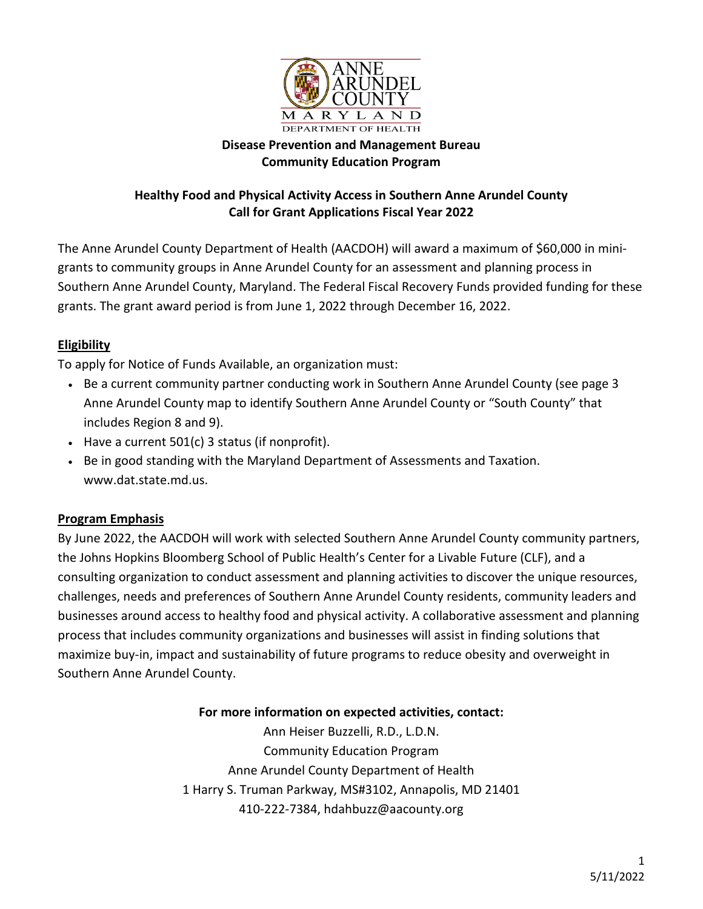

## **Disease Prevention and Management Bureau Community Education Program**

# **Healthy Food and Physical Activity Access in Southern Anne Arundel County Call for Grant Applications Fiscal Year 2022**

The Anne Arundel County Department of Health (AACDOH) will award a maximum of \$60,000 in minigrants to community groups in Anne Arundel County for an assessment and planning process in Southern Anne Arundel County, Maryland. The Federal Fiscal Recovery Funds provided funding for these grants. The grant award period is from June 1, 2022 through December 16, 2022.

## **Eligibility**

To apply for Notice of Funds Available, an organization must:

- Be a current community partner conducting work in Southern Anne Arundel County (see page 3 Anne Arundel County map to identify Southern Anne Arundel County or "South County" that includes Region 8 and 9).
- Have a current 501(c) 3 status (if nonprofit).
- Be in good standing with the Maryland Department of Assessments and Taxation. www.dat.state.md.us.

### **Program Emphasis**

By June 2022, the AACDOH will work with selected Southern Anne Arundel County community partners, the Johns Hopkins Bloomberg School of Public Health's Center for a Livable Future (CLF), and a consulting organization to conduct assessment and planning activities to discover the unique resources, challenges, needs and preferences of Southern Anne Arundel County residents, community leaders and businesses around access to healthy food and physical activity. A collaborative assessment and planning process that includes community organizations and businesses will assist in finding solutions that maximize buy-in, impact and sustainability of future programs to reduce obesity and overweight in Southern Anne Arundel County.

### **For more information on expected activities, contact:**

Ann Heiser Buzzelli, R.D., L.D.N. Community Education Program Anne Arundel County Department of Health 1 Harry S. Truman Parkway, MS#3102, Annapolis, MD 21401 [410-222-7384,](tel:(410)%20222-7384) hdahbuzz@aacounty.org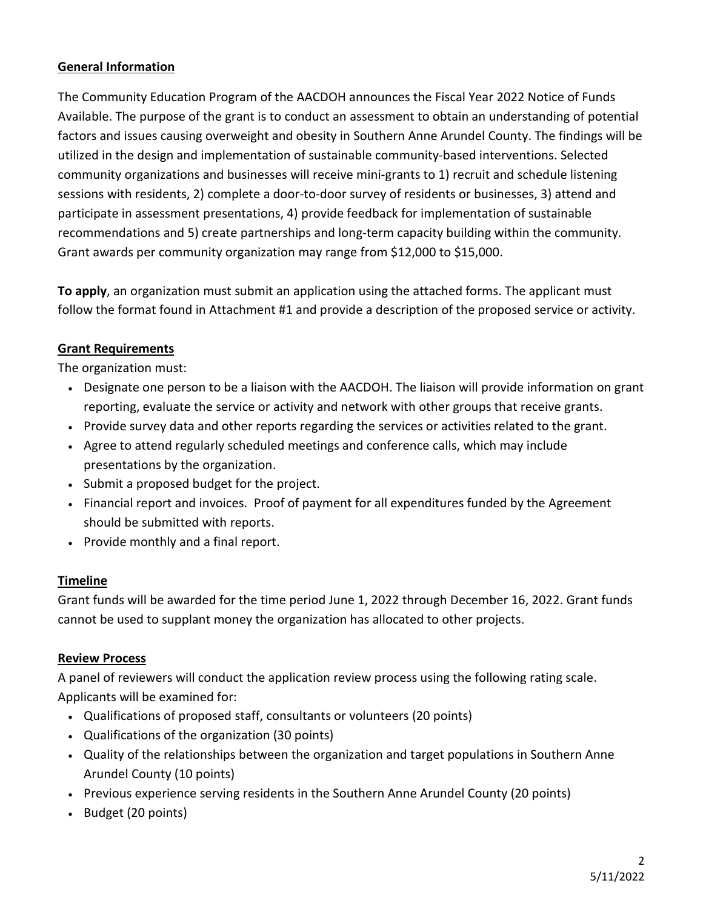## **General Information**

The Community Education Program of the AACDOH announces the Fiscal Year 2022 Notice of Funds Available. The purpose of the grant is to conduct an assessment to obtain an understanding of potential factors and issues causing overweight and obesity in Southern Anne Arundel County. The findings will be utilized in the design and implementation of sustainable community-based interventions. Selected community organizations and businesses will receive mini-grants to 1) recruit and schedule listening sessions with residents, 2) complete a door-to-door survey of residents or businesses, 3) attend and participate in assessment presentations, 4) provide feedback for implementation of sustainable recommendations and 5) create partnerships and long-term capacity building within the community. Grant awards per community organization may range from \$12,000 to \$15,000.

**To apply**, an organization must submit an application using the attached forms. The applicant must follow the format found in Attachment #1 and provide a description of the proposed service or activity.

### **Grant Requirements**

The organization must:

- Designate one person to be a liaison with the AACDOH. The liaison will provide information on grant reporting, evaluate the service or activity and network with other groups that receive grants.
- Provide survey data and other reports regarding the services or activities related to the grant.
- Agree to attend regularly scheduled meetings and conference calls, which may include presentations by the organization.
- Submit a proposed budget for the project.
- Financial report and invoices. Proof of payment for all expenditures funded by the Agreement should be submitted with reports.
- Provide monthly and a final report.

### **Timeline**

Grant funds will be awarded for the time period June 1, 2022 through December 16, 2022. Grant funds cannot be used to supplant money the organization has allocated to other projects.

### **Review Process**

A panel of reviewers will conduct the application review process using the following rating scale. Applicants will be examined for:

- Qualifications of proposed staff, consultants or volunteers (20 points)
- Qualifications of the organization (30 points)
- Quality of the relationships between the organization and target populations in Southern Anne Arundel County (10 points)
- Previous experience serving residents in the Southern Anne Arundel County (20 points)
- Budget (20 points)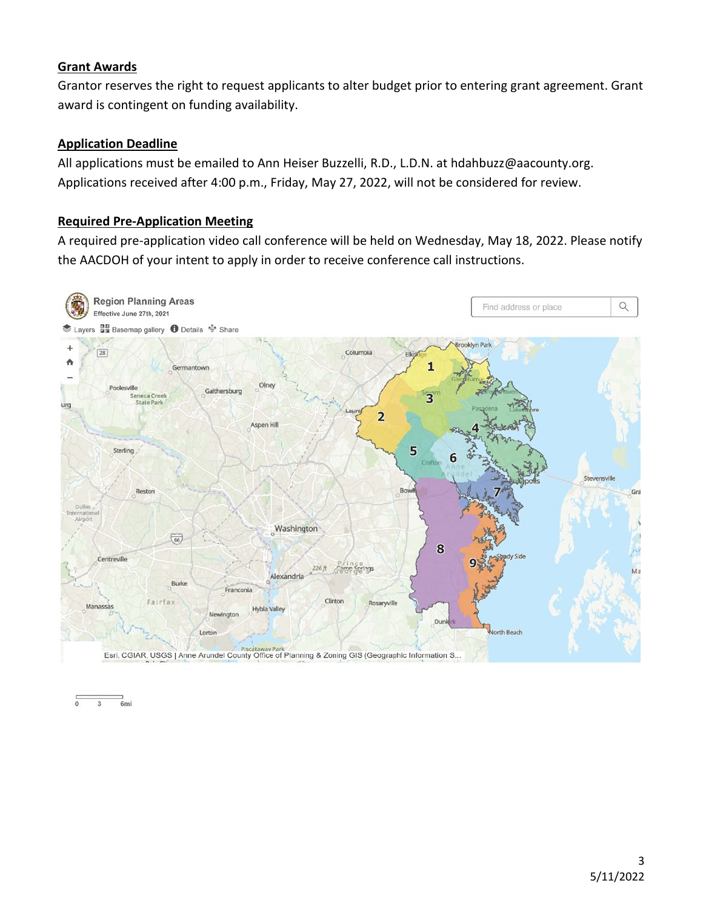### **Grant Awards**

Grantor reserves the right to request applicants to alter budget prior to entering grant agreement. Grant award is contingent on funding availability.

### **Application Deadline**

All applications must be emailed to Ann Heiser Buzzelli, R.D., L.D.N. at hdahbuzz@aacounty.org. Applications received after 4:00 p.m., Friday, May 27, 2022, will not be considered for review.

### **Required Pre-Application Meeting**

A required pre-application video call conference will be held on Wednesday, May 18, 2022. Please notify the AACDOH of your intent to apply in order to receive conference call instructions.



6mi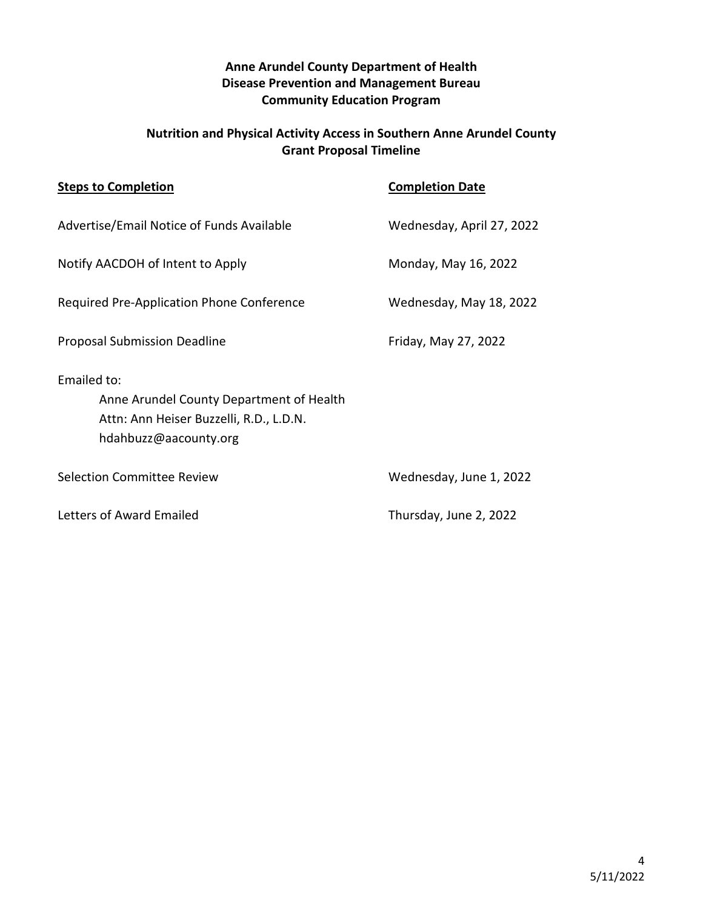## **Anne Arundel County Department of Health Disease Prevention and Management Bureau Community Education Program**

## **Nutrition and Physical Activity Access in Southern Anne Arundel County Grant Proposal Timeline**

| <b>Steps to Completion</b>                                                                                                  | <b>Completion Date</b>    |
|-----------------------------------------------------------------------------------------------------------------------------|---------------------------|
| Advertise/Email Notice of Funds Available                                                                                   | Wednesday, April 27, 2022 |
| Notify AACDOH of Intent to Apply                                                                                            | Monday, May 16, 2022      |
| Required Pre-Application Phone Conference                                                                                   | Wednesday, May 18, 2022   |
| <b>Proposal Submission Deadline</b>                                                                                         | Friday, May 27, 2022      |
| Emailed to:<br>Anne Arundel County Department of Health<br>Attn: Ann Heiser Buzzelli, R.D., L.D.N.<br>hdahbuzz@aacounty.org |                           |
| Selection Committee Review                                                                                                  | Wednesday, June 1, 2022   |
| Letters of Award Emailed                                                                                                    | Thursday, June 2, 2022    |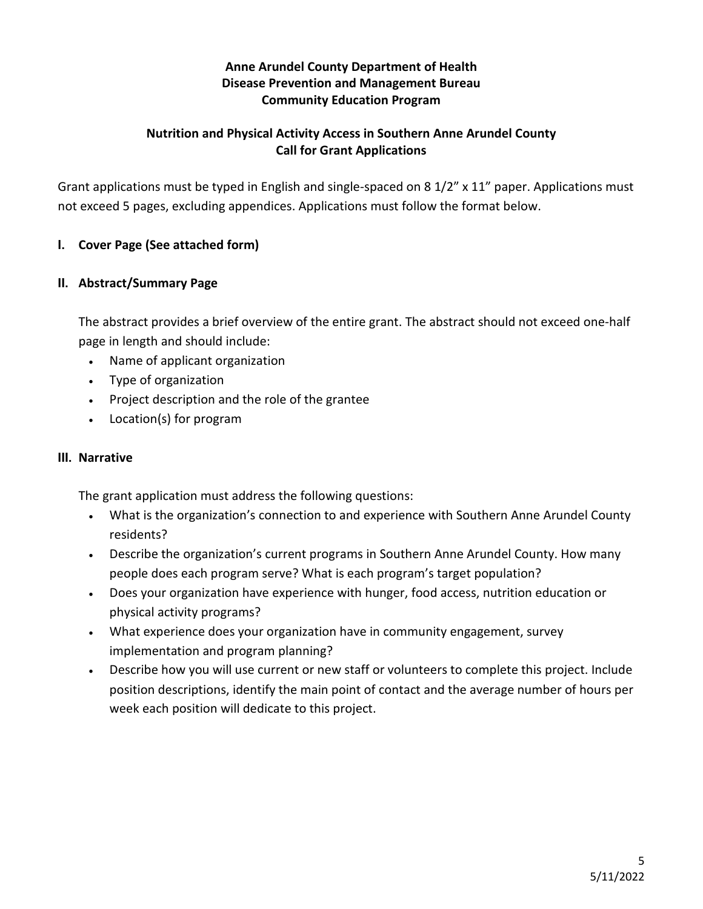## **Anne Arundel County Department of Health Disease Prevention and Management Bureau Community Education Program**

## **Nutrition and Physical Activity Access in Southern Anne Arundel County Call for Grant Applications**

Grant applications must be typed in English and single-spaced on 8 1/2" x 11" paper. Applications must not exceed 5 pages, excluding appendices. Applications must follow the format below.

## **I. Cover Page (See attached form)**

### **II. Abstract/Summary Page**

The abstract provides a brief overview of the entire grant. The abstract should not exceed one-half page in length and should include:

- Name of applicant organization
- Type of organization
- Project description and the role of the grantee
- Location(s) for program

### **III. Narrative**

The grant application must address the following questions:

- What is the organization's connection to and experience with Southern Anne Arundel County residents?
- Describe the organization's current programs in Southern Anne Arundel County. How many people does each program serve? What is each program's target population?
- Does your organization have experience with hunger, food access, nutrition education or physical activity programs?
- What experience does your organization have in community engagement, survey implementation and program planning?
- Describe how you will use current or new staff or volunteers to complete this project. Include position descriptions, identify the main point of contact and the average number of hours per week each position will dedicate to this project.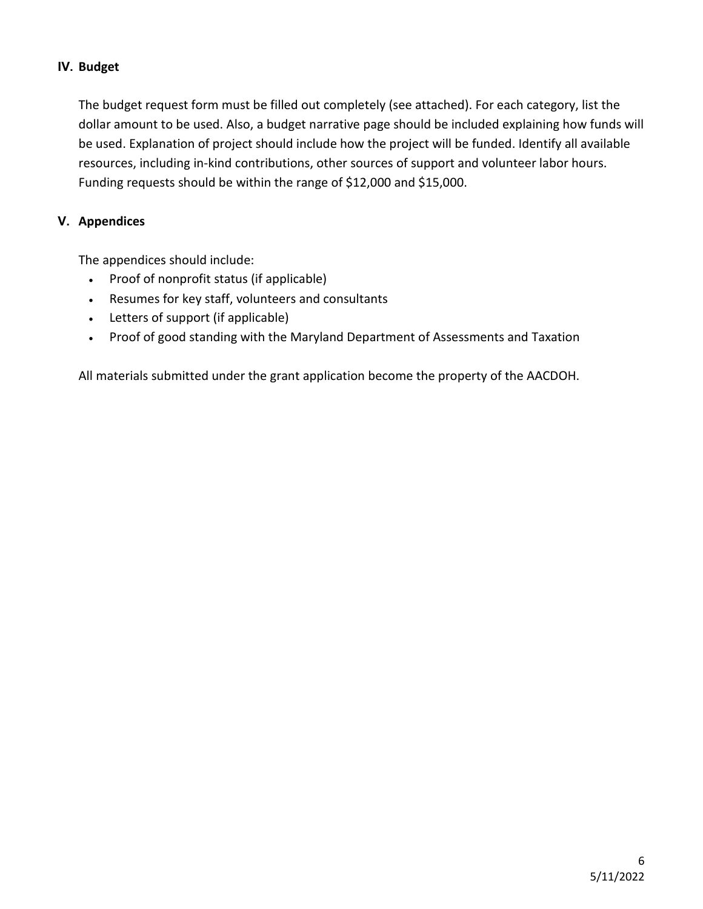### **IV. Budget**

The budget request form must be filled out completely (see attached). For each category, list the dollar amount to be used. Also, a budget narrative page should be included explaining how funds will be used. Explanation of project should include how the project will be funded. Identify all available resources, including in-kind contributions, other sources of support and volunteer labor hours. Funding requests should be within the range of \$12,000 and \$15,000.

### **V. Appendices**

The appendices should include:

- Proof of nonprofit status (if applicable)
- Resumes for key staff, volunteers and consultants
- Letters of support (if applicable)
- Proof of good standing with the Maryland Department of Assessments and Taxation

All materials submitted under the grant application become the property of the AACDOH.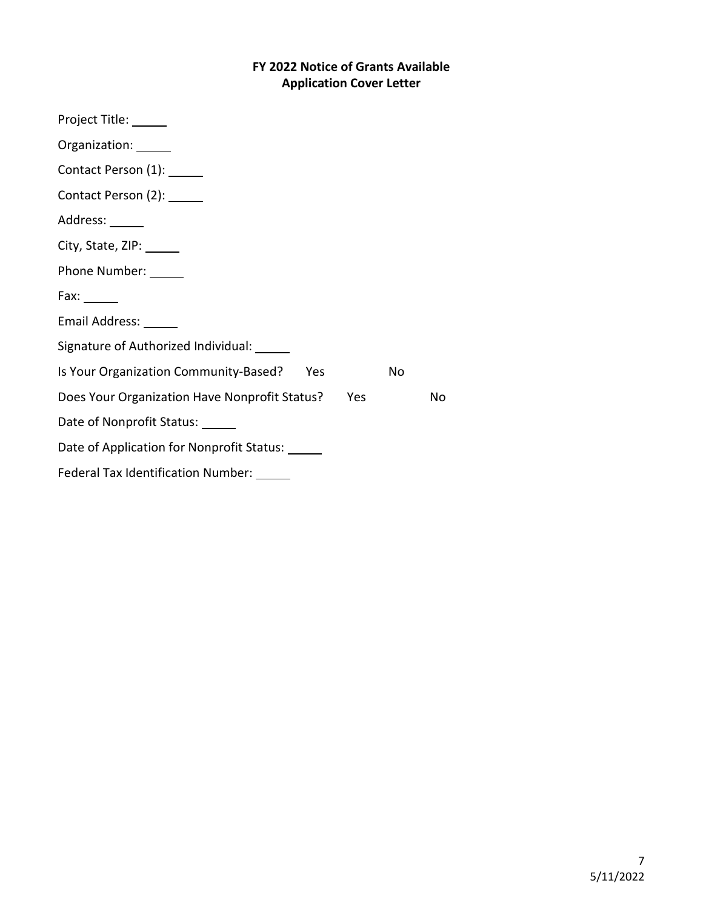# **FY 2022 Notice of Grants Available Application Cover Letter**

| Project Title: ______                                |    |
|------------------------------------------------------|----|
| Organization: ______                                 |    |
| Contact Person (1): ______                           |    |
| Contact Person (2): ______                           |    |
| Address: ______                                      |    |
| City, State, ZIP: ______                             |    |
| Phone Number: ______                                 |    |
| Fax: $\_\_$                                          |    |
| Email Address: ______                                |    |
| Signature of Authorized Individual: ______           |    |
| Is Your Organization Community-Based?<br>Yes<br>No   |    |
| Does Your Organization Have Nonprofit Status?<br>Yes | No |
| Date of Nonprofit Status: ______                     |    |
| Date of Application for Nonprofit Status: ______     |    |
| Federal Tax Identification Number: ______            |    |